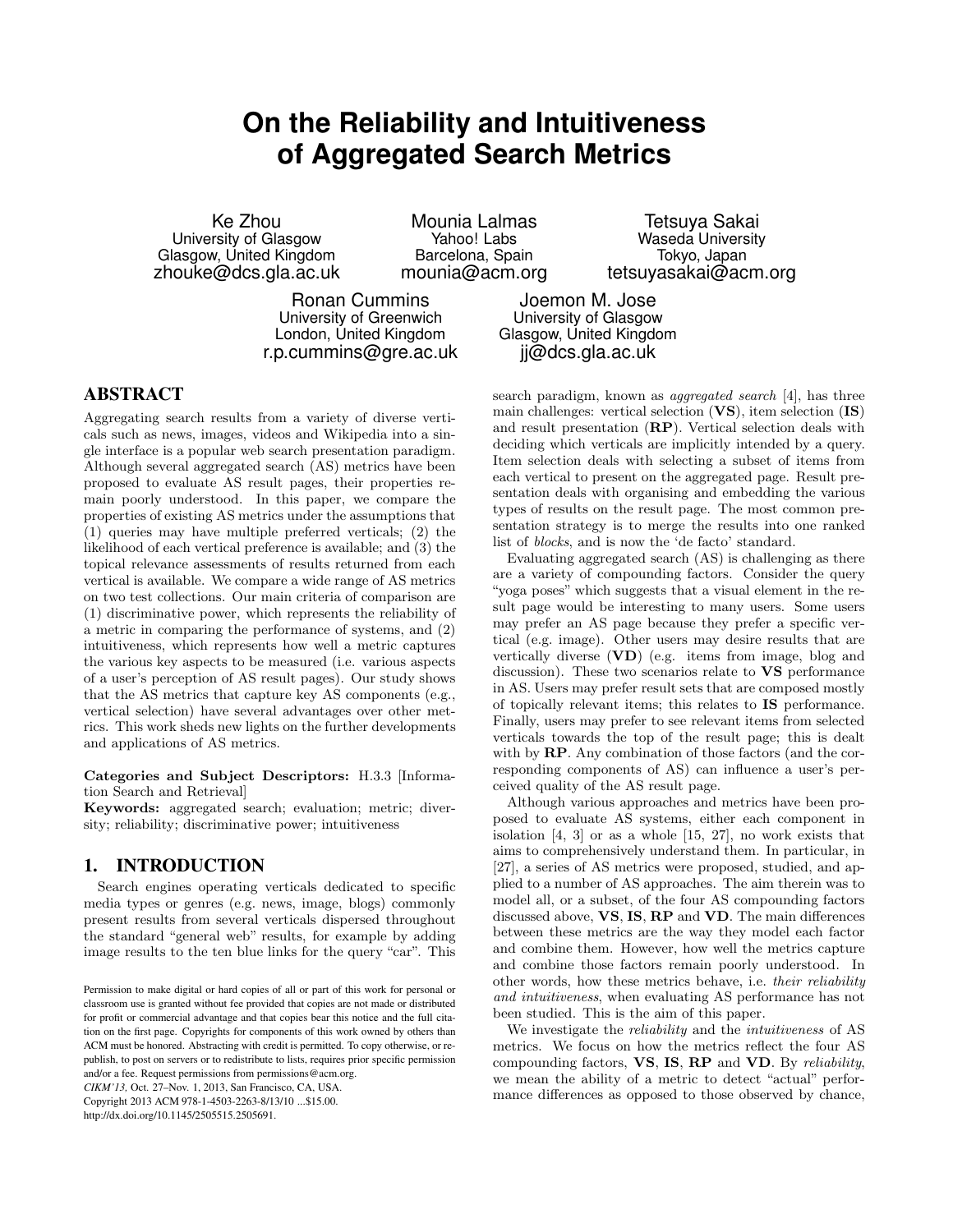# **On the Reliability and Intuitiveness of Aggregated Search Metrics**

Ke Zhou University of Glasgow Glasgow, United Kingdom zhouke@dcs.gla.ac.uk

Mounia Lalmas Yahoo! Labs Barcelona, Spain mounia@acm.org

Ronan Cummins University of Greenwich London, United Kingdom r.p.cummins@gre.ac.uk

Tetsuya Sakai Waseda University Tokyo, Japan tetsuyasakai@acm.org

Joemon M. Jose University of Glasgow Glasgow, United Kingdom jj@dcs.gla.ac.uk

## ABSTRACT

Aggregating search results from a variety of diverse verticals such as news, images, videos and Wikipedia into a single interface is a popular web search presentation paradigm. Although several aggregated search (AS) metrics have been proposed to evaluate AS result pages, their properties remain poorly understood. In this paper, we compare the properties of existing AS metrics under the assumptions that (1) queries may have multiple preferred verticals; (2) the likelihood of each vertical preference is available; and (3) the topical relevance assessments of results returned from each vertical is available. We compare a wide range of AS metrics on two test collections. Our main criteria of comparison are (1) discriminative power, which represents the reliability of a metric in comparing the performance of systems, and (2) intuitiveness, which represents how well a metric captures the various key aspects to be measured (i.e. various aspects of a user's perception of AS result pages). Our study shows that the AS metrics that capture key AS components (e.g., vertical selection) have several advantages over other metrics. This work sheds new lights on the further developments and applications of AS metrics.

Categories and Subject Descriptors: H.3.3 [Information Search and Retrieval]

Keywords: aggregated search; evaluation; metric; diversity; reliability; discriminative power; intuitiveness

## 1. INTRODUCTION

Search engines operating verticals dedicated to specific media types or genres (e.g. news, image, blogs) commonly present results from several verticals dispersed throughout the standard "general web" results, for example by adding image results to the ten blue links for the query "car". This

*CIKM'13,* Oct. 27–Nov. 1, 2013, San Francisco, CA, USA. Copyright 2013 ACM 978-1-4503-2263-8/13/10 ...\$15.00. http://dx.doi.org/10.1145/2505515.2505691.

search paradigm, known as aggregated search [4], has three main challenges: vertical selection (VS), item selection (IS) and result presentation (RP). Vertical selection deals with deciding which verticals are implicitly intended by a query. Item selection deals with selecting a subset of items from each vertical to present on the aggregated page. Result presentation deals with organising and embedding the various types of results on the result page. The most common presentation strategy is to merge the results into one ranked list of blocks, and is now the 'de facto' standard.

Evaluating aggregated search (AS) is challenging as there are a variety of compounding factors. Consider the query "yoga poses" which suggests that a visual element in the result page would be interesting to many users. Some users may prefer an AS page because they prefer a specific vertical (e.g. image). Other users may desire results that are vertically diverse (VD) (e.g. items from image, blog and discussion). These two scenarios relate to VS performance in AS. Users may prefer result sets that are composed mostly of topically relevant items; this relates to IS performance. Finally, users may prefer to see relevant items from selected verticals towards the top of the result page; this is dealt with by  $\mathbb{RP}$ . Any combination of those factors (and the corresponding components of AS) can influence a user's perceived quality of the AS result page.

Although various approaches and metrics have been proposed to evaluate AS systems, either each component in isolation [4, 3] or as a whole [15, 27], no work exists that aims to comprehensively understand them. In particular, in [27], a series of AS metrics were proposed, studied, and applied to a number of AS approaches. The aim therein was to model all, or a subset, of the four AS compounding factors discussed above, VS, IS, RP and VD. The main differences between these metrics are the way they model each factor and combine them. However, how well the metrics capture and combine those factors remain poorly understood. In other words, how these metrics behave, i.e. their reliability and intuitiveness, when evaluating AS performance has not been studied. This is the aim of this paper.

We investigate the *reliability* and the *intuitiveness* of AS metrics. We focus on how the metrics reflect the four AS compounding factors, VS, IS, RP and VD. By reliability, we mean the ability of a metric to detect "actual" performance differences as opposed to those observed by chance,

Permission to make digital or hard copies of all or part of this work for personal or classroom use is granted without fee provided that copies are not made or distributed for profit or commercial advantage and that copies bear this notice and the full citation on the first page. Copyrights for components of this work owned by others than ACM must be honored. Abstracting with credit is permitted. To copy otherwise, or republish, to post on servers or to redistribute to lists, requires prior specific permission and/or a fee. Request permissions from permissions@acm.org.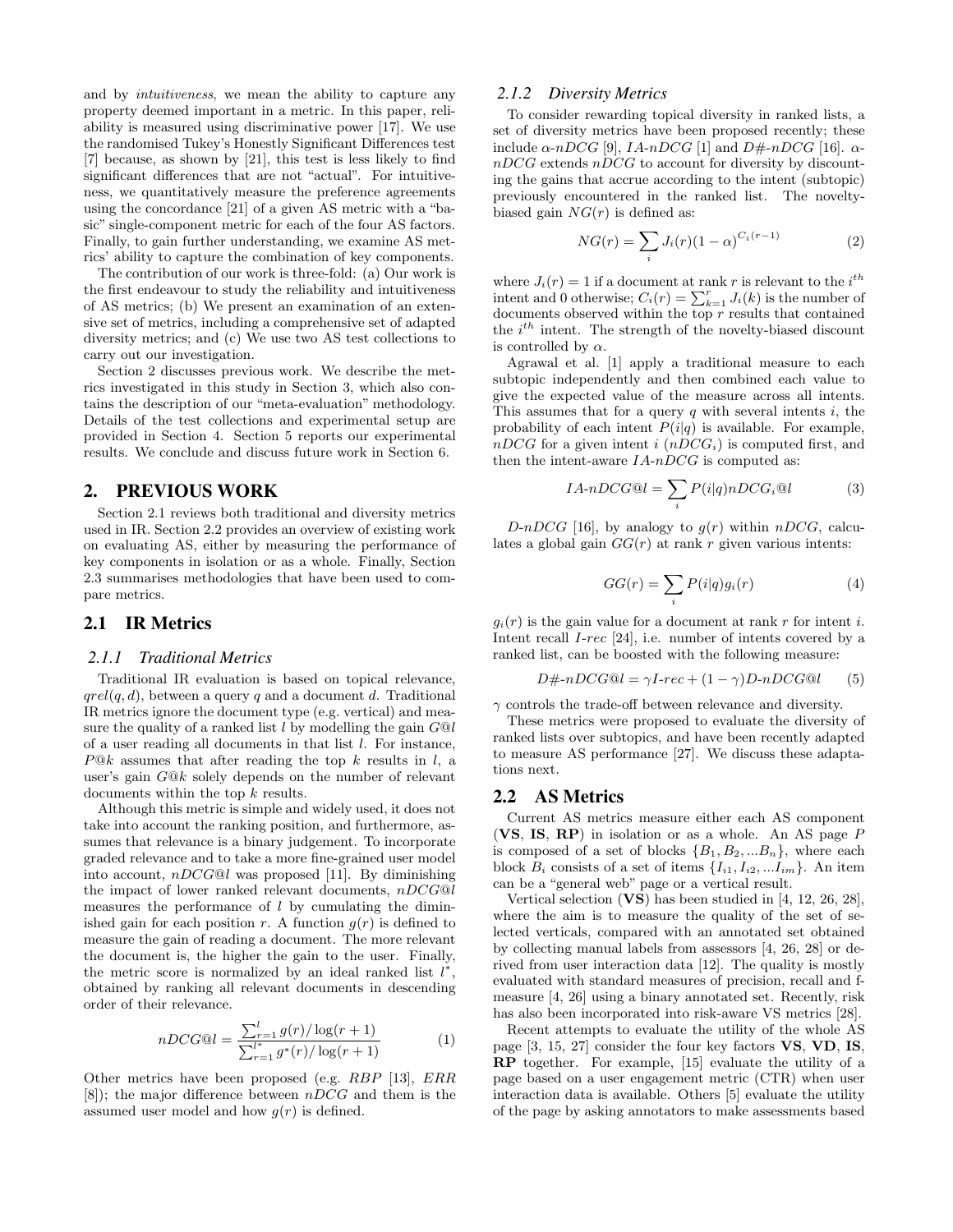and by intuitiveness, we mean the ability to capture any property deemed important in a metric. In this paper, reliability is measured using discriminative power [17]. We use the randomised Tukey's Honestly Significant Differences test [7] because, as shown by [21], this test is less likely to find significant differences that are not "actual". For intuitiveness, we quantitatively measure the preference agreements using the concordance [21] of a given AS metric with a "basic" single-component metric for each of the four AS factors. Finally, to gain further understanding, we examine AS metrics' ability to capture the combination of key components.

The contribution of our work is three-fold: (a) Our work is the first endeavour to study the reliability and intuitiveness of AS metrics; (b) We present an examination of an extensive set of metrics, including a comprehensive set of adapted diversity metrics; and (c) We use two AS test collections to carry out our investigation.

Section 2 discusses previous work. We describe the metrics investigated in this study in Section 3, which also contains the description of our "meta-evaluation" methodology. Details of the test collections and experimental setup are provided in Section 4. Section 5 reports our experimental results. We conclude and discuss future work in Section 6.

## 2. PREVIOUS WORK

Section 2.1 reviews both traditional and diversity metrics used in IR. Section 2.2 provides an overview of existing work on evaluating AS, either by measuring the performance of key components in isolation or as a whole. Finally, Section 2.3 summarises methodologies that have been used to compare metrics.

## 2.1 IR Metrics

#### *2.1.1 Traditional Metrics*

Traditional IR evaluation is based on topical relevance,  $qrel(q, d)$ , between a query q and a document d. Traditional IR metrics ignore the document type (e.g. vertical) and measure the quality of a ranked list  $l$  by modelling the gain  $G@l$ of a user reading all documents in that list l. For instance,  $P@k$  assumes that after reading the top k results in l, a user's gain G@k solely depends on the number of relevant documents within the top  $k$  results.

Although this metric is simple and widely used, it does not take into account the ranking position, and furthermore, assumes that relevance is a binary judgement. To incorporate graded relevance and to take a more fine-grained user model into account,  $nDCG@l$  was proposed [11]. By diminishing the impact of lower ranked relevant documents,  $nDCG@l$ measures the performance of  $l$  by cumulating the diminished gain for each position r. A function  $g(r)$  is defined to measure the gain of reading a document. The more relevant the document is, the higher the gain to the user. Finally, the metric score is normalized by an ideal ranked list  $l^*$ , obtained by ranking all relevant documents in descending order of their relevance.

$$
nDCG@l = \frac{\sum_{r=1}^{l} g(r)/\log(r+1)}{\sum_{r=1}^{l^*} g^*(r)/\log(r+1)}
$$
(1)

Other metrics have been proposed (e.g. RBP [13], ERR  $[8]$ ; the major difference between  $nDCG$  and them is the assumed user model and how  $g(r)$  is defined.

#### *2.1.2 Diversity Metrics*

To consider rewarding topical diversity in ranked lists, a set of diversity metrics have been proposed recently; these include  $\alpha$ -nDCG [9], IA-nDCG [1] and D#-nDCG [16].  $\alpha$  $nDCG$  extends  $nDCG$  to account for diversity by discounting the gains that accrue according to the intent (subtopic) previously encountered in the ranked list. The noveltybiased gain  $NG(r)$  is defined as:

$$
NG(r) = \sum_{i} J_i(r)(1-\alpha)^{C_i(r-1)}
$$
 (2)

where  $J_i(r) = 1$  if a document at rank r is relevant to the  $i^{th}$ intent and 0 otherwise;  $C_i(r) = \sum_{k=1}^r J_i(k)$  is the number of documents observed within the top  $r$  results that contained the  $i^{th}$  intent. The strength of the novelty-biased discount is controlled by  $\alpha$ .

Agrawal et al. [1] apply a traditional measure to each subtopic independently and then combined each value to give the expected value of the measure across all intents. This assumes that for a query  $q$  with several intents  $i$ , the probability of each intent  $P(i|q)$  is available. For example,  $nDCG$  for a given intent i  $(nDCG_i)$  is computed first, and then the intent-aware  $IA-nDCG$  is computed as:

$$
IA \text{-} nDCG@l = \sum_{i} P(i|q) nDCG_i@l \tag{3}
$$

D-nDCG [16], by analogy to  $g(r)$  within nDCG, calculates a global gain  $GG(r)$  at rank r given various intents:

$$
GG(r) = \sum_{i} P(i|q)g_i(r)
$$
 (4)

 $g_i(r)$  is the gain value for a document at rank r for intent i. Intent recall I-rec [24], i.e. number of intents covered by a ranked list, can be boosted with the following measure:

$$
D\# \text{-}nDCG@l = \gamma I \text{-}rec + (1 - \gamma)D \text{-}nDCG@l \tag{5}
$$

 $\gamma$  controls the trade-off between relevance and diversity.

These metrics were proposed to evaluate the diversity of ranked lists over subtopics, and have been recently adapted to measure AS performance [27]. We discuss these adaptations next.

## 2.2 AS Metrics

Current AS metrics measure either each AS component (VS, IS, RP) in isolation or as a whole. An AS page P is composed of a set of blocks  $\{B_1, B_2, ... B_n\}$ , where each block  $B_i$  consists of a set of items  $\{I_{i1}, I_{i2}, ... I_{im}\}$ . An item can be a "general web" page or a vertical result.

Vertical selection  $(VS)$  has been studied in [4, 12, 26, 28], where the aim is to measure the quality of the set of selected verticals, compared with an annotated set obtained by collecting manual labels from assessors [4, 26, 28] or derived from user interaction data [12]. The quality is mostly evaluated with standard measures of precision, recall and fmeasure [4, 26] using a binary annotated set. Recently, risk has also been incorporated into risk-aware VS metrics [28].

Recent attempts to evaluate the utility of the whole AS page [3, 15, 27] consider the four key factors VS, VD, IS, RP together. For example, [15] evaluate the utility of a page based on a user engagement metric (CTR) when user interaction data is available. Others [5] evaluate the utility of the page by asking annotators to make assessments based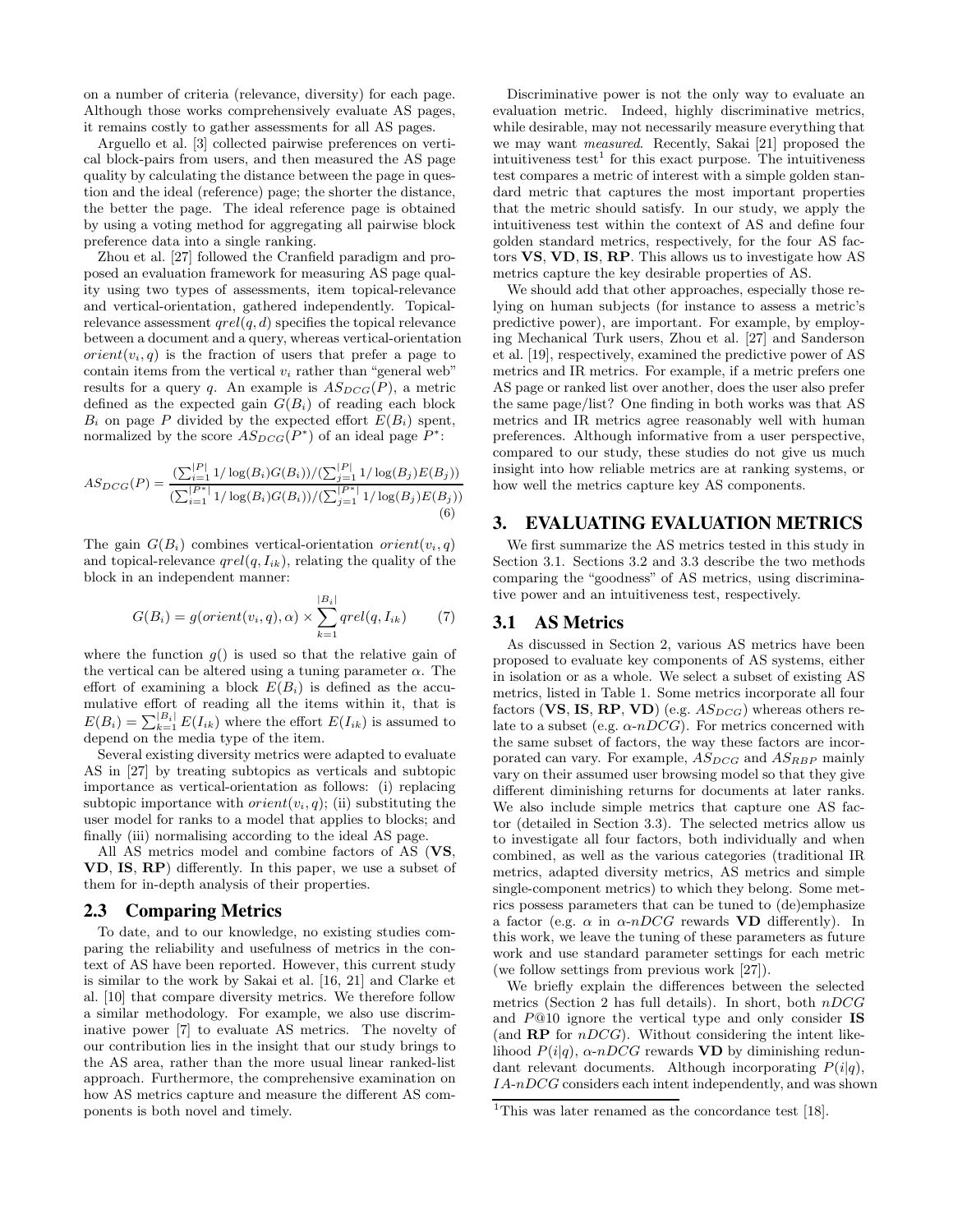on a number of criteria (relevance, diversity) for each page. Although those works comprehensively evaluate AS pages, it remains costly to gather assessments for all AS pages.

Arguello et al. [3] collected pairwise preferences on vertical block-pairs from users, and then measured the AS page quality by calculating the distance between the page in question and the ideal (reference) page; the shorter the distance, the better the page. The ideal reference page is obtained by using a voting method for aggregating all pairwise block preference data into a single ranking.

Zhou et al. [27] followed the Cranfield paradigm and proposed an evaluation framework for measuring AS page quality using two types of assessments, item topical-relevance and vertical-orientation, gathered independently. Topicalrelevance assessment  $\text{qrel}(q, d)$  specifies the topical relevance between a document and a query, whereas vertical-orientation  $orient(v_i, q)$  is the fraction of users that prefer a page to contain items from the vertical  $v_i$  rather than "general web" results for a query q. An example is  $AS_{DCG}(P)$ , a metric defined as the expected gain  $G(B_i)$  of reading each block  $B_i$  on page P divided by the expected effort  $E(B_i)$  spent, normalized by the score  $AS_{DCG}(P^*)$  of an ideal page  $P^*$ :

$$
AS_{DCG}(P) = \frac{\left(\sum_{i=1}^{|P|} 1/\log(B_i)G(B_i)\right)/\left(\sum_{j=1}^{|P|} 1/\log(B_j)E(B_j)\right)}{\left(\sum_{i=1}^{|P^*|} 1/\log(B_i)G(B_i)\right)/\left(\sum_{j=1}^{|P^*|} 1/\log(B_j)E(B_j)\right)}
$$
(6)

The gain  $G(B_i)$  combines vertical-orientation orient $(v_i, q)$ and topical-relevance  $qrel(q, I_{ik})$ , relating the quality of the block in an independent manner:

$$
G(B_i) = g(orient(v_i, q), \alpha) \times \sum_{k=1}^{|B_i|} qrel(q, I_{ik})
$$
 (7)

where the function  $g()$  is used so that the relative gain of the vertical can be altered using a tuning parameter  $\alpha$ . The effort of examining a block  $E(B_i)$  is defined as the accumulative effort of reading all the items within it, that is  $E(B_i) = \sum_{k=1}^{|B_i|} E(I_{ik})$  where the effort  $E(I_{ik})$  is assumed to depend on the media type of the item.

Several existing diversity metrics were adapted to evaluate AS in [27] by treating subtopics as verticals and subtopic importance as vertical-orientation as follows: (i) replacing subtopic importance with  $orient(v_i, q)$ ; (ii) substituting the user model for ranks to a model that applies to blocks; and finally (iii) normalising according to the ideal AS page.

All AS metrics model and combine factors of AS (VS, VD, IS, RP) differently. In this paper, we use a subset of them for in-depth analysis of their properties.

## 2.3 Comparing Metrics

To date, and to our knowledge, no existing studies comparing the reliability and usefulness of metrics in the context of AS have been reported. However, this current study is similar to the work by Sakai et al. [16, 21] and Clarke et al. [10] that compare diversity metrics. We therefore follow a similar methodology. For example, we also use discriminative power [7] to evaluate AS metrics. The novelty of our contribution lies in the insight that our study brings to the AS area, rather than the more usual linear ranked-list approach. Furthermore, the comprehensive examination on how AS metrics capture and measure the different AS components is both novel and timely.

Discriminative power is not the only way to evaluate an evaluation metric. Indeed, highly discriminative metrics, while desirable, may not necessarily measure everything that we may want measured. Recently, Sakai [21] proposed the intuitiveness test<sup>1</sup> for this exact purpose. The intuitiveness test compares a metric of interest with a simple golden standard metric that captures the most important properties that the metric should satisfy. In our study, we apply the intuitiveness test within the context of AS and define four golden standard metrics, respectively, for the four AS factors VS, VD, IS, RP. This allows us to investigate how AS metrics capture the key desirable properties of AS.

We should add that other approaches, especially those relying on human subjects (for instance to assess a metric's predictive power), are important. For example, by employing Mechanical Turk users, Zhou et al. [27] and Sanderson et al. [19], respectively, examined the predictive power of AS metrics and IR metrics. For example, if a metric prefers one AS page or ranked list over another, does the user also prefer the same page/list? One finding in both works was that AS metrics and IR metrics agree reasonably well with human preferences. Although informative from a user perspective, compared to our study, these studies do not give us much insight into how reliable metrics are at ranking systems, or how well the metrics capture key AS components.

## 3. EVALUATING EVALUATION METRICS

We first summarize the AS metrics tested in this study in Section 3.1. Sections 3.2 and 3.3 describe the two methods comparing the "goodness" of AS metrics, using discriminative power and an intuitiveness test, respectively.

## 3.1 AS Metrics

As discussed in Section 2, various AS metrics have been proposed to evaluate key components of AS systems, either in isolation or as a whole. We select a subset of existing AS metrics, listed in Table 1. Some metrics incorporate all four factors (VS, IS, RP, VD) (e.g.  $AS_{DCG}$ ) whereas others relate to a subset (e.g.  $\alpha$ -nDCG). For metrics concerned with the same subset of factors, the way these factors are incorporated can vary. For example,  $AS_{DCG}$  and  $AS_{RBP}$  mainly vary on their assumed user browsing model so that they give different diminishing returns for documents at later ranks. We also include simple metrics that capture one AS factor (detailed in Section 3.3). The selected metrics allow us to investigate all four factors, both individually and when combined, as well as the various categories (traditional IR metrics, adapted diversity metrics, AS metrics and simple single-component metrics) to which they belong. Some metrics possess parameters that can be tuned to (de)emphasize a factor (e.g.  $\alpha$  in  $\alpha$ -nDCG rewards VD differently). In this work, we leave the tuning of these parameters as future work and use standard parameter settings for each metric (we follow settings from previous work [27]).

We briefly explain the differences between the selected metrics (Section 2 has full details). In short, both  $nDCG$ and P@10 ignore the vertical type and only consider IS (and  $\bf RP$  for  $nDCG$ ). Without considering the intent likelihood  $P(i|q)$ ,  $\alpha$ -nDCG rewards **VD** by diminishing redundant relevant documents. Although incorporating  $P(i|q)$ , IA-nDCG considers each intent independently, and was shown

<sup>&</sup>lt;sup>1</sup>This was later renamed as the concordance test [18].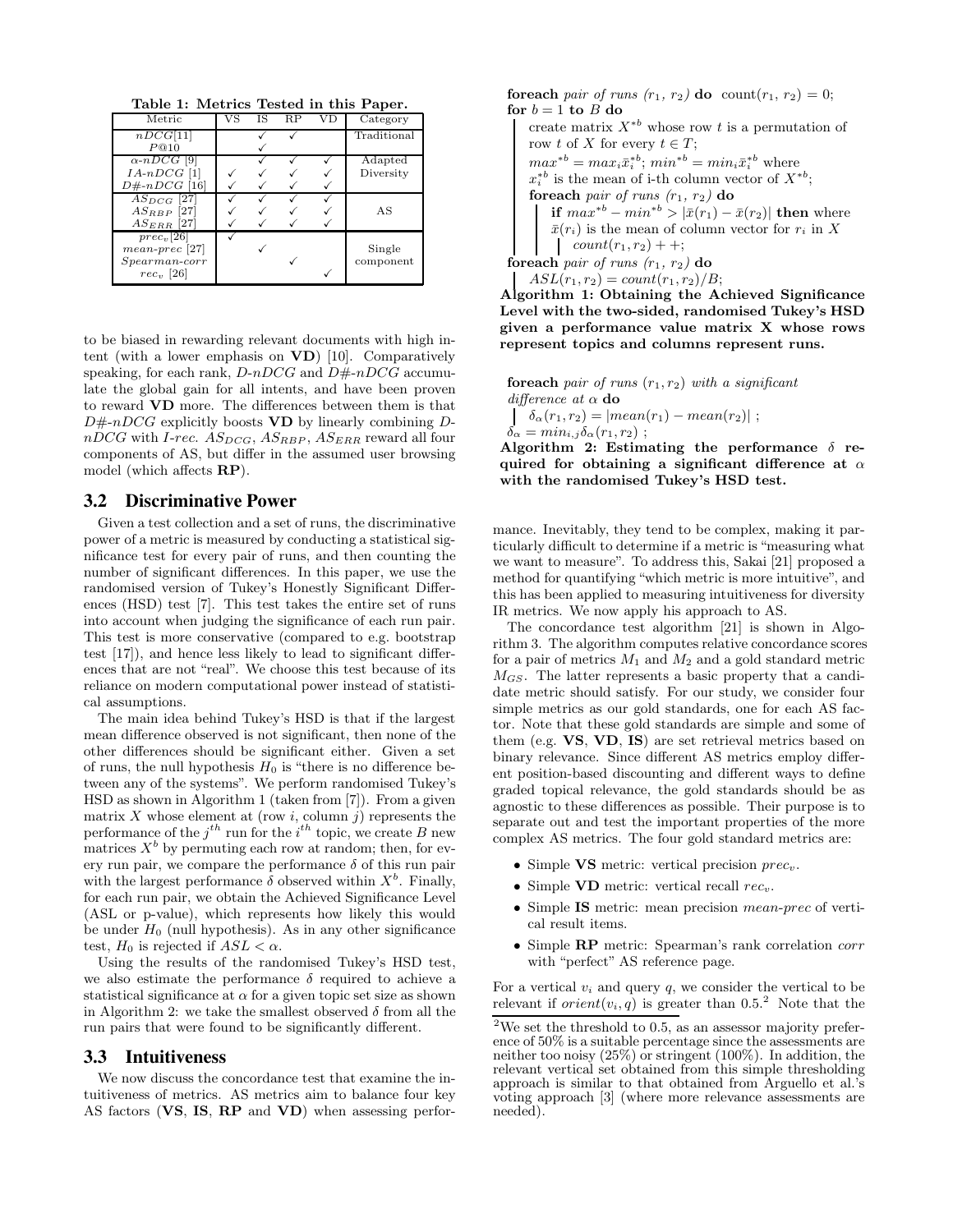Table 1: Metrics Tested in this Paper.

| Metric                        | IS | R.P | Category    |
|-------------------------------|----|-----|-------------|
| nDCG[11]                      |    |     | Traditional |
| P@10                          |    |     |             |
| $\alpha$ -nDCG <sup>[9]</sup> |    |     | Adapted     |
| $IA-nDCG$ [1]                 |    |     | Diversity   |
| $D\# \neg DCG \; [16]$        |    |     |             |
| $AS_{DCG}$ [27]               |    |     |             |
| $AS_{RBP}$ [27]               |    |     | AS          |
| $AS_{ERR}$ [27]               |    |     |             |
| $prec_v[26]$                  |    |     |             |
| $mean\text{-}prec$ [27]       |    |     | Single      |
| $Spearman-corr$               |    |     | component   |
| $rec_v$ [26]                  |    |     |             |

to be biased in rewarding relevant documents with high intent (with a lower emphasis on VD) [10]. Comparatively speaking, for each rank,  $D\neg DCG$  and  $D\not\# \neg DCG$  accumulate the global gain for all intents, and have been proven to reward VD more. The differences between them is that  $D\#$ -nDCG explicitly boosts **VD** by linearly combining D $nDCG$  with *I-rec.*  $AS_{DCG}$ ,  $AS_{RBP}$ ,  $AS_{ERR}$  reward all four components of AS, but differ in the assumed user browsing model (which affects RP).

#### 3.2 Discriminative Power

Given a test collection and a set of runs, the discriminative power of a metric is measured by conducting a statistical significance test for every pair of runs, and then counting the number of significant differences. In this paper, we use the randomised version of Tukey's Honestly Significant Differences (HSD) test [7]. This test takes the entire set of runs into account when judging the significance of each run pair. This test is more conservative (compared to e.g. bootstrap test [17]), and hence less likely to lead to significant differences that are not "real". We choose this test because of its reliance on modern computational power instead of statistical assumptions.

The main idea behind Tukey's HSD is that if the largest mean difference observed is not significant, then none of the other differences should be significant either. Given a set of runs, the null hypothesis  $H_0$  is "there is no difference between any of the systems". We perform randomised Tukey's HSD as shown in Algorithm 1 (taken from [7]). From a given matrix X whose element at (row i, column j) represents the performance of the  $j^{th}$  run for the  $i^{th}$  topic, we create B new matrices  $X^b$  by permuting each row at random; then, for every run pair, we compare the performance  $\delta$  of this run pair with the largest performance  $\delta$  observed within  $X^b$ . Finally, for each run pair, we obtain the Achieved Significance Level (ASL or p-value), which represents how likely this would be under  $H_0$  (null hypothesis). As in any other significance test,  $H_0$  is rejected if  $ASL < \alpha$ .

Using the results of the randomised Tukey's HSD test, we also estimate the performance  $\delta$  required to achieve a statistical significance at  $\alpha$  for a given topic set size as shown in Algorithm 2: we take the smallest observed  $\delta$  from all the run pairs that were found to be significantly different.

#### 3.3 Intuitiveness

We now discuss the concordance test that examine the intuitiveness of metrics. AS metrics aim to balance four key AS factors (VS, IS, RP and VD) when assessing perforforeach pair of runs  $(r_1, r_2)$  do count $(r_1, r_2) = 0$ ; for  $b = 1$  to  $B$  do create matrix  $X^{*b}$  whose row t is a permutation of row t of X for every  $t \in T$ ;  $max^*{}^b = max_i \bar{x}_i^*{}^b; min^*{}^b = min_i \bar{x}_i^*{}^b$  where  $x_i^{*b}$  is the mean of i-th column vector of  $X^{*b}$ ; foreach pair of runs  $(r_1, r_2)$  do if  $max^{*b} - min^{*b} > |\bar{x}(r_1) - \bar{x}(r_2)|$  then where  $\bar{x}(r_i)$  is the mean of column vector for  $r_i$  in X  $count(r_1, r_2) + +;$ foreach pair of runs  $(r_1, r_2)$  do  $ASL(r_1, r_2) = count(r_1, r_2)/B;$ 

Algorithm 1: Obtaining the Achieved Significance Level with the two-sided, randomised Tukey's HSD given a performance value matrix X whose rows represent topics and columns represent runs.

foreach pair of runs  $(r_1, r_2)$  with a significant difference at  $\alpha$  do  $\delta_{\alpha}(r_1, r_2) = |mean(r_1) - mean(r_2)|$ ;  $\delta_\alpha = min_{i,j} \delta_\alpha(r_1,r_2)$  ; Algorithm 2: Estimating the performance  $\delta$  re-

quired for obtaining a significant difference at  $\alpha$ with the randomised Tukey's HSD test.

mance. Inevitably, they tend to be complex, making it particularly difficult to determine if a metric is "measuring what we want to measure". To address this, Sakai [21] proposed a method for quantifying "which metric is more intuitive", and this has been applied to measuring intuitiveness for diversity IR metrics. We now apply his approach to AS.

The concordance test algorithm [21] is shown in Algorithm 3. The algorithm computes relative concordance scores for a pair of metrics  $M_1$  and  $M_2$  and a gold standard metric  $M_{GS}$ . The latter represents a basic property that a candidate metric should satisfy. For our study, we consider four simple metrics as our gold standards, one for each AS factor. Note that these gold standards are simple and some of them (e.g. VS, VD, IS) are set retrieval metrics based on binary relevance. Since different AS metrics employ different position-based discounting and different ways to define graded topical relevance, the gold standards should be as agnostic to these differences as possible. Their purpose is to separate out and test the important properties of the more complex AS metrics. The four gold standard metrics are:

- Simple  $VS$  metric: vertical precision  $prec_v$ .
- Simple  $VD$  metric: vertical recall  $rec_v$ .
- Simple IS metric: mean precision *mean-prec* of vertical result items.
- Simple RP metric: Spearman's rank correlation corr with "perfect" AS reference page.

For a vertical  $v_i$  and query q, we consider the vertical to be relevant if  $orient(v_i, q)$  is greater than 0.5.<sup>2</sup> Note that the

<sup>&</sup>lt;sup>2</sup>We set the threshold to 0.5, as an assessor majority preference of 50% is a suitable percentage since the assessments are neither too noisy (25%) or stringent (100%). In addition, the relevant vertical set obtained from this simple thresholding approach is similar to that obtained from Arguello et al.'s voting approach [3] (where more relevance assessments are needed).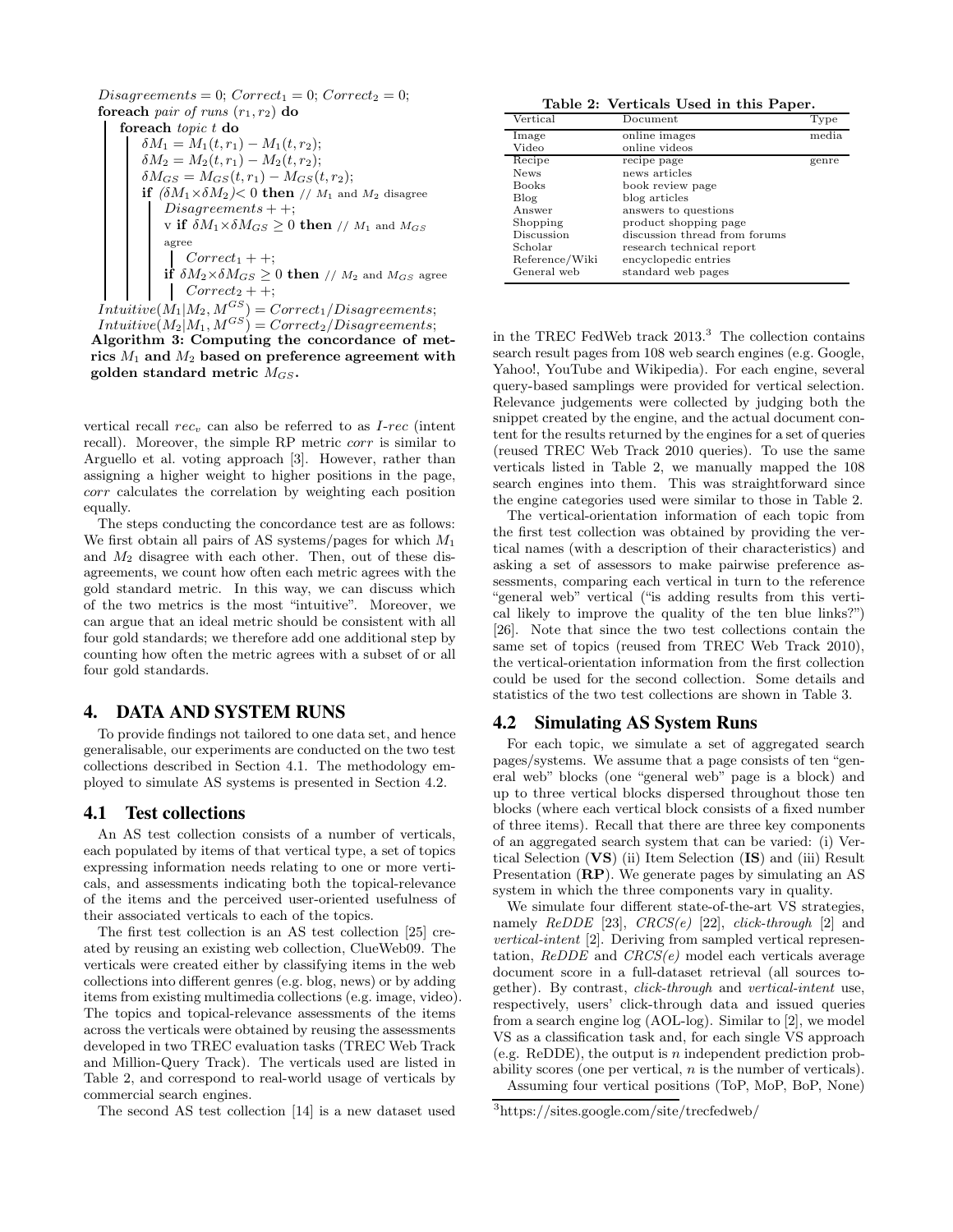$$
Disagreenents = 0; Correct_1 = 0; Correct_2 = 0;
$$
\n**for each** pair of runs  $(r_1, r_2)$  **do**\n
$$
\begin{cases}\n\text{for each } topic \ t \ \text{do} \\
\delta M_1 = M_1(t, r_1) - M_1(t, r_2); \\
\delta M_2 = M_2(t, r_1) - M_2(t, r_2); \\
\delta M_{GS} = M_{GS}(t, r_1) - M_{GS}(t, r_2); \\
\text{if } (\delta M_1 \times \delta M_2) < 0 \ \text{then } // M_1 \text{ and } M_2 \text{ disagree} \\
\text{Disagreenents} + +; \\
\text{v if } \delta M_1 \times \delta M_{GS} \geq 0 \ \text{then } // M_1 \text{ and } M_{GS} \\
\text{agree} \\
\text{Correct}_1 + +; \\
\text{if } \delta M_2 \times \delta M_{GS} \geq 0 \ \text{then } // M_2 \text{ and } M_{GS} \text{ agree} \\
\text{Correct}_2 + +; \\
\text{Intuiting}(M_1 | M_2 | M_2S) = \text{Correct}_2 / \text{Disagreement}.\n\end{cases}
$$

 $Intuitive(M_1|M_2, M^{GS}) = Correct_1/Disagreenents;$  $Intuitive(M_2|M_1, M^{GS}) = Correct_2/Disagreenents;$ Algorithm 3: Computing the concordance of metrics  $M_1$  and  $M_2$  based on preference agreement with golden standard metric  $M_{GS}$ .

vertical recall  $rec_v$  can also be referred to as  $I-rec$  (intent recall). Moreover, the simple RP metric corr is similar to Arguello et al. voting approach [3]. However, rather than assigning a higher weight to higher positions in the page, corr calculates the correlation by weighting each position equally.

The steps conducting the concordance test are as follows: We first obtain all pairs of AS systems/pages for which  $M_1$ and  $M_2$  disagree with each other. Then, out of these disagreements, we count how often each metric agrees with the gold standard metric. In this way, we can discuss which of the two metrics is the most "intuitive". Moreover, we can argue that an ideal metric should be consistent with all four gold standards; we therefore add one additional step by counting how often the metric agrees with a subset of or all four gold standards.

## 4. DATA AND SYSTEM RUNS

To provide findings not tailored to one data set, and hence generalisable, our experiments are conducted on the two test collections described in Section 4.1. The methodology employed to simulate AS systems is presented in Section 4.2.

#### 4.1 Test collections

An AS test collection consists of a number of verticals, each populated by items of that vertical type, a set of topics expressing information needs relating to one or more verticals, and assessments indicating both the topical-relevance of the items and the perceived user-oriented usefulness of their associated verticals to each of the topics.

The first test collection is an AS test collection [25] created by reusing an existing web collection, ClueWeb09. The verticals were created either by classifying items in the web collections into different genres (e.g. blog, news) or by adding items from existing multimedia collections (e.g. image, video). The topics and topical-relevance assessments of the items across the verticals were obtained by reusing the assessments developed in two TREC evaluation tasks (TREC Web Track and Million-Query Track). The verticals used are listed in Table 2, and correspond to real-world usage of verticals by commercial search engines.

The second AS test collection [14] is a new dataset used

Table 2: Verticals Used in this Paper.

| $\rm Vertical$ | Document                      | Type  |
|----------------|-------------------------------|-------|
| Image          | online images                 | media |
| Video          | online videos                 |       |
| Recipe         | recipe page                   | genre |
| <b>News</b>    | news articles                 |       |
| <b>Books</b>   | book review page              |       |
| Blog           | blog articles                 |       |
| Answer         | answers to questions          |       |
| Shopping       | product shopping page         |       |
| Discussion     | discussion thread from forums |       |
| Scholar        | research technical report     |       |
| Reference/Wiki | encyclopedic entries          |       |
| General web    | standard web pages            |       |

in the TREC FedWeb track  $2013.<sup>3</sup>$  The collection contains search result pages from 108 web search engines (e.g. Google, Yahoo!, YouTube and Wikipedia). For each engine, several query-based samplings were provided for vertical selection. Relevance judgements were collected by judging both the snippet created by the engine, and the actual document content for the results returned by the engines for a set of queries (reused TREC Web Track 2010 queries). To use the same verticals listed in Table 2, we manually mapped the 108 search engines into them. This was straightforward since the engine categories used were similar to those in Table 2.

The vertical-orientation information of each topic from the first test collection was obtained by providing the vertical names (with a description of their characteristics) and asking a set of assessors to make pairwise preference assessments, comparing each vertical in turn to the reference "general web" vertical ("is adding results from this vertical likely to improve the quality of the ten blue links?") [26]. Note that since the two test collections contain the same set of topics (reused from TREC Web Track 2010), the vertical-orientation information from the first collection could be used for the second collection. Some details and statistics of the two test collections are shown in Table 3.

#### 4.2 Simulating AS System Runs

For each topic, we simulate a set of aggregated search pages/systems. We assume that a page consists of ten "general web" blocks (one "general web" page is a block) and up to three vertical blocks dispersed throughout those ten blocks (where each vertical block consists of a fixed number of three items). Recall that there are three key components of an aggregated search system that can be varied: (i) Vertical Selection (VS) (ii) Item Selection (IS) and (iii) Result Presentation (RP). We generate pages by simulating an AS system in which the three components vary in quality.

We simulate four different state-of-the-art VS strategies, namely  $ReDDE$  [23],  $CRCS(e)$  [22],  $click\text{-}through$  [2] and vertical-intent [2]. Deriving from sampled vertical representation,  $ReDDE$  and  $CRCS(e)$  model each verticals average document score in a full-dataset retrieval (all sources together). By contrast, click-through and vertical-intent use, respectively, users' click-through data and issued queries from a search engine log (AOL-log). Similar to [2], we model VS as a classification task and, for each single VS approach (e.g. ReDDE), the output is  $n$  independent prediction probability scores (one per vertical, n is the number of verticals). Assuming four vertical positions (ToP, MoP, BoP, None)

<sup>3</sup> https://sites.google.com/site/trecfedweb/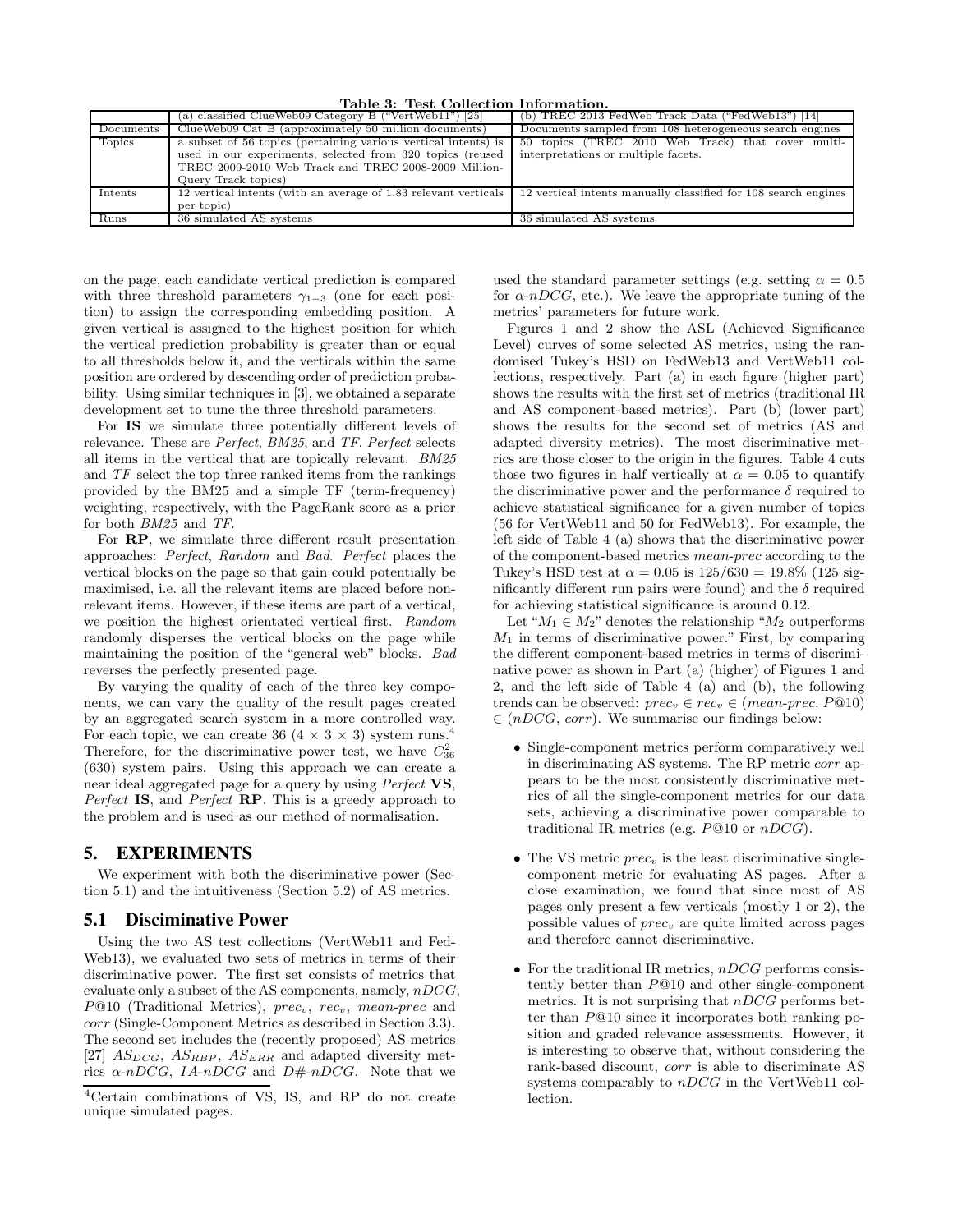**Table 3: Test Collection Information.**<br>Figure B ("VertWeb11") [25] (b) TREC 2013 FedWeb Track Data ("FedWeb13") [14] (a) classified ClueWeb09 Category B ("VertWeb11") [25] (b) TREC 2013 FedWeb Track Data ("FedWeb13") [14] ClueWeb09 Cat B (approximately 50 million documents) Documents sampled from 108 heterogeneous search engi Documents ClueWeb09 Cat B (approximately 50 million documents)<br>Topics a subset of 56 topics (pertaining various vertical intents a subset of 56 topics (pertaining various vertical intents) is used in our experiments, selected from 320 topics (reused TREC 2009-2010 Web Track and TREC 2008-2009 Million-Query Track topics) 50 topics (TREC 2010 Web Track) that cover multiinterpretations or multiple facets. Intents 12 vertical intents (with an average of 1.83 relevant verticals per topic) 12 vertical intents manually classified for 108 search engines Runs 36 simulated AS systems 36 simulated AS systems

on the page, each candidate vertical prediction is compared with three threshold parameters  $\gamma_{1-3}$  (one for each position) to assign the corresponding embedding position. A given vertical is assigned to the highest position for which the vertical prediction probability is greater than or equal to all thresholds below it, and the verticals within the same position are ordered by descending order of prediction probability. Using similar techniques in [3], we obtained a separate development set to tune the three threshold parameters.

For IS we simulate three potentially different levels of relevance. These are Perfect, BM25, and TF. Perfect selects all items in the vertical that are topically relevant. BM25 and TF select the top three ranked items from the rankings provided by the BM25 and a simple TF (term-frequency) weighting, respectively, with the PageRank score as a prior for both BM25 and TF.

For RP, we simulate three different result presentation approaches: Perfect, Random and Bad. Perfect places the vertical blocks on the page so that gain could potentially be maximised, i.e. all the relevant items are placed before nonrelevant items. However, if these items are part of a vertical, we position the highest orientated vertical first. Random randomly disperses the vertical blocks on the page while maintaining the position of the "general web" blocks. Bad reverses the perfectly presented page.

By varying the quality of each of the three key components, we can vary the quality of the result pages created by an aggregated search system in a more controlled way. For each topic, we can create 36 (4  $\times$  3  $\times$  3) system runs.<sup>4</sup> Therefore, for the discriminative power test, we have  $C_{36}^2$ (630) system pairs. Using this approach we can create a near ideal aggregated page for a query by using Perfect VS, Perfect IS, and Perfect RP. This is a greedy approach to the problem and is used as our method of normalisation.

## 5. EXPERIMENTS

We experiment with both the discriminative power (Section 5.1) and the intuitiveness (Section 5.2) of AS metrics.

#### 5.1 Disciminative Power

Using the two AS test collections (VertWeb11 and Fed-Web13), we evaluated two sets of metrics in terms of their discriminative power. The first set consists of metrics that evaluate only a subset of the AS components, namely,  $nDCG$ ,  $P@10$  (Traditional Metrics),  $prec_v$ , rec<sub>v</sub>, mean-prec and corr (Single-Component Metrics as described in Section 3.3). The second set includes the (recently proposed) AS metrics [27]  $AS_{DCG}$ ,  $AS_{RBP}$ ,  $AS_{ERR}$  and adapted diversity metrics  $\alpha$ -nDCG, IA-nDCG and D#-nDCG. Note that we

used the standard parameter settings (e.g. setting  $\alpha = 0.5$ ) for  $\alpha$ -nDCG, etc.). We leave the appropriate tuning of the metrics' parameters for future work.

Figures 1 and 2 show the ASL (Achieved Significance Level) curves of some selected AS metrics, using the randomised Tukey's HSD on FedWeb13 and VertWeb11 collections, respectively. Part (a) in each figure (higher part) shows the results with the first set of metrics (traditional IR and AS component-based metrics). Part (b) (lower part) shows the results for the second set of metrics (AS and adapted diversity metrics). The most discriminative metrics are those closer to the origin in the figures. Table 4 cuts those two figures in half vertically at  $\alpha = 0.05$  to quantify the discriminative power and the performance  $\delta$  required to achieve statistical significance for a given number of topics (56 for VertWeb11 and 50 for FedWeb13). For example, the left side of Table 4 (a) shows that the discriminative power of the component-based metrics mean-prec according to the Tukey's HSD test at  $\alpha = 0.05$  is  $125/630 = 19.8\%$  (125 significantly different run pairs were found) and the  $\delta$  required for achieving statistical significance is around 0.12.

Let " $M_1 \in M_2$ " denotes the relationship " $M_2$  outperforms  $M_1$  in terms of discriminative power." First, by comparing the different component-based metrics in terms of discriminative power as shown in Part (a) (higher) of Figures 1 and 2, and the left side of Table 4 (a) and (b), the following trends can be observed:  $prec_v \in rec_v \in (mean\text{-}prec, P@10)$  $\in (nDCG, corr)$ . We summarise our findings below:

- Single-component metrics perform comparatively well in discriminating AS systems. The RP metric corr appears to be the most consistently discriminative metrics of all the single-component metrics for our data sets, achieving a discriminative power comparable to traditional IR metrics (e.g.  $P@10$  or  $nDCG$ ).
- The VS metric  $prec_v$  is the least discriminative singlecomponent metric for evaluating AS pages. After a close examination, we found that since most of AS pages only present a few verticals (mostly 1 or 2), the possible values of  $prec_v$  are quite limited across pages and therefore cannot discriminative.
- For the traditional IR metrics,  $nDCG$  performs consistently better than P@10 and other single-component metrics. It is not surprising that  $nDCG$  performs better than P@10 since it incorporates both ranking position and graded relevance assessments. However, it is interesting to observe that, without considering the rank-based discount, corr is able to discriminate AS systems comparably to  $nDCG$  in the VertWeb11 collection.

<sup>4</sup>Certain combinations of VS, IS, and RP do not create unique simulated pages.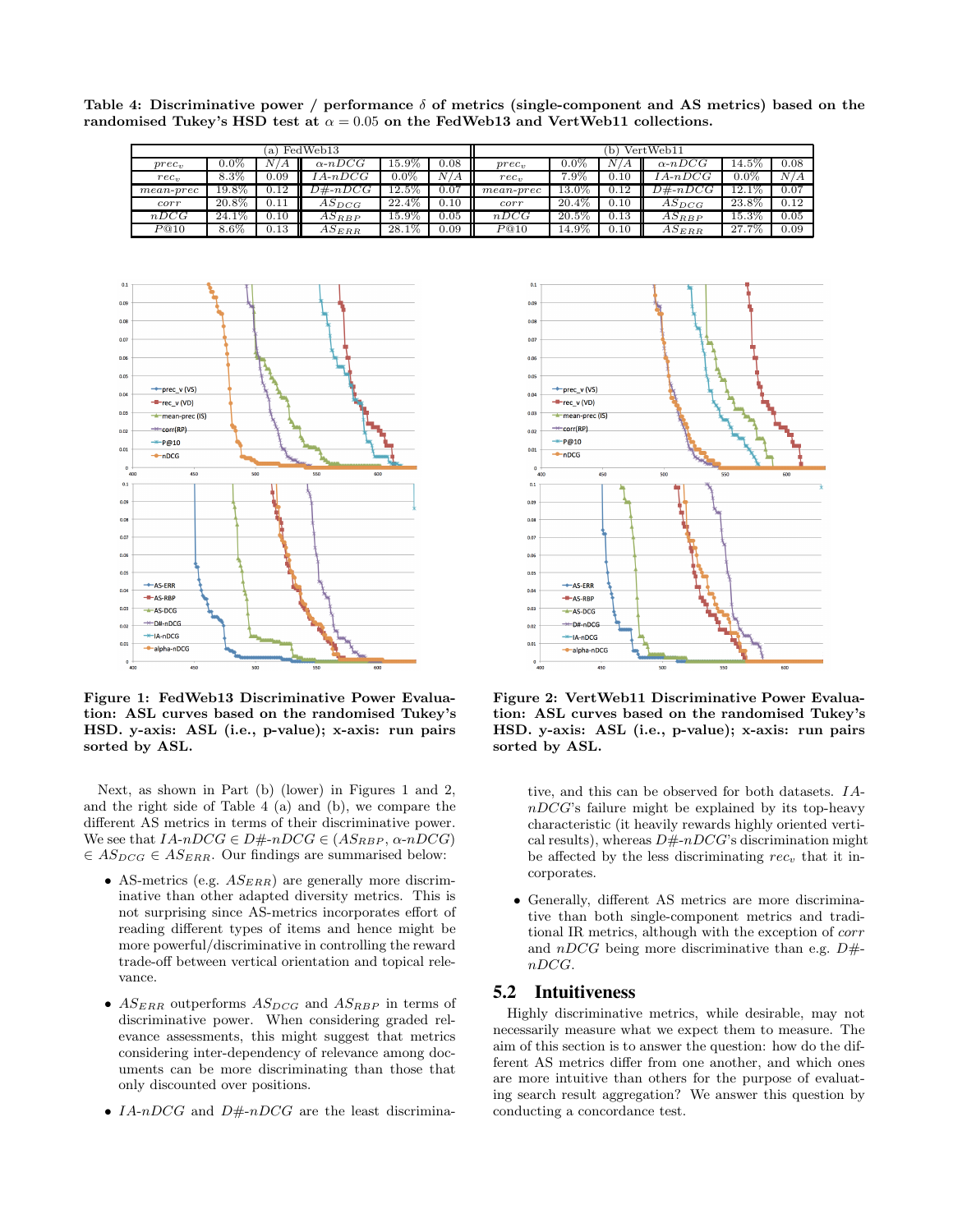Table 4: Discriminative power / performance  $\delta$  of metrics (single-component and AS metrics) based on the randomised Tukey's HSD test at  $\alpha = 0.05$  on the FedWeb13 and VertWeb11 collections.

| FedWeb13<br>a)   |          |      |                | VertWeb11           |           |                  |          |                |                |         |      |
|------------------|----------|------|----------------|---------------------|-----------|------------------|----------|----------------|----------------|---------|------|
| $prec_v$         | $0.0\%$  |      | $\alpha$ -nDCG | $15.9\%$            | 0.08      | $prec_v$         | $0.0\%$  | /V<br>$\bm{A}$ | $\alpha$ -nDCG | 14.5%   | 0.08 |
| rec <sub>n</sub> | $8.3\%$  | 0.09 | $A \cdot nDCG$ | $0.0\%$             | N/A       | rec <sub>n</sub> | $7.9\%$  | 0.10           | $A \cdot nDCG$ | $0.0\%$ | N/A  |
| $mean$ -prec     | 19.8%    | 0.12 | $D#$ -n $DCG$  | $12.5\%$            | 0.07      | $mean$ -prec     | 13.0%    | 0.12           | $D#-nDCG$      | 12.1%   | 0.07 |
| corr             | $20.8\%$ | 0.11 | $AS_{DCG}$     | $22.4\%$            | 0.10      | corr             | $20.4\%$ | 0.10           | $AS_{DCG}$     | 23.8%   | 0.12 |
| nDCG             | $24.1\%$ | 0.10 | $AS_{RBP}$     | $15.\overline{9\%}$ | 0.05      | nDCG             | $20.5\%$ | 0.13           | $AS_{RBP}$     | 15.3%   | 0.05 |
| P@10             | $8.6\%$  | 0.13 | $AS_{ERR}$     | $28.1\%$            | $_{0.09}$ | P@10             | $14.9\%$ | 0.10           | $AS_{ERR}$     | 27.7%   | 0.09 |



Figure 1: FedWeb13 Discriminative Power Evaluation: ASL curves based on the randomised Tukey's HSD. y-axis: ASL (i.e., p-value); x-axis: run pairs sorted by ASL.

Next, as shown in Part (b) (lower) in Figures 1 and 2, and the right side of Table 4 (a) and (b), we compare the different AS metrics in terms of their discriminative power. We see that  $IA\neg DCG \in D\# \neg DCG \in (AS_{RBP}, \alpha \neg DCG)$  $\in AS_{DCG} \in AS_{ERR}$ . Our findings are summarised below:

- AS-metrics (e.g.  $AS_{ERR}$ ) are generally more discriminative than other adapted diversity metrics. This is not surprising since AS-metrics incorporates effort of reading different types of items and hence might be more powerful/discriminative in controlling the reward trade-off between vertical orientation and topical relevance.
- $AS_{ERR}$  outperforms  $AS_{DCG}$  and  $AS_{RBP}$  in terms of discriminative power. When considering graded relevance assessments, this might suggest that metrics considering inter-dependency of relevance among documents can be more discriminating than those that only discounted over positions.
- IA-nDCG and D#-nDCG are the least discrimina-



Figure 2: VertWeb11 Discriminative Power Evaluation: ASL curves based on the randomised Tukey's HSD. y-axis: ASL (i.e., p-value); x-axis: run pairs sorted by ASL.

tive, and this can be observed for both datasets. IA $nDCG$ 's failure might be explained by its top-heavy characteristic (it heavily rewards highly oriented vertical results), whereas  $D\#nDCG$ 's discrimination might be affected by the less discriminating  $rec<sub>v</sub>$  that it incorporates.

• Generally, different AS metrics are more discriminative than both single-component metrics and traditional IR metrics, although with the exception of corr and  $nDCG$  being more discriminative than e.g.  $D#$ nDCG.

## 5.2 Intuitiveness

Highly discriminative metrics, while desirable, may not necessarily measure what we expect them to measure. The aim of this section is to answer the question: how do the different AS metrics differ from one another, and which ones are more intuitive than others for the purpose of evaluating search result aggregation? We answer this question by conducting a concordance test.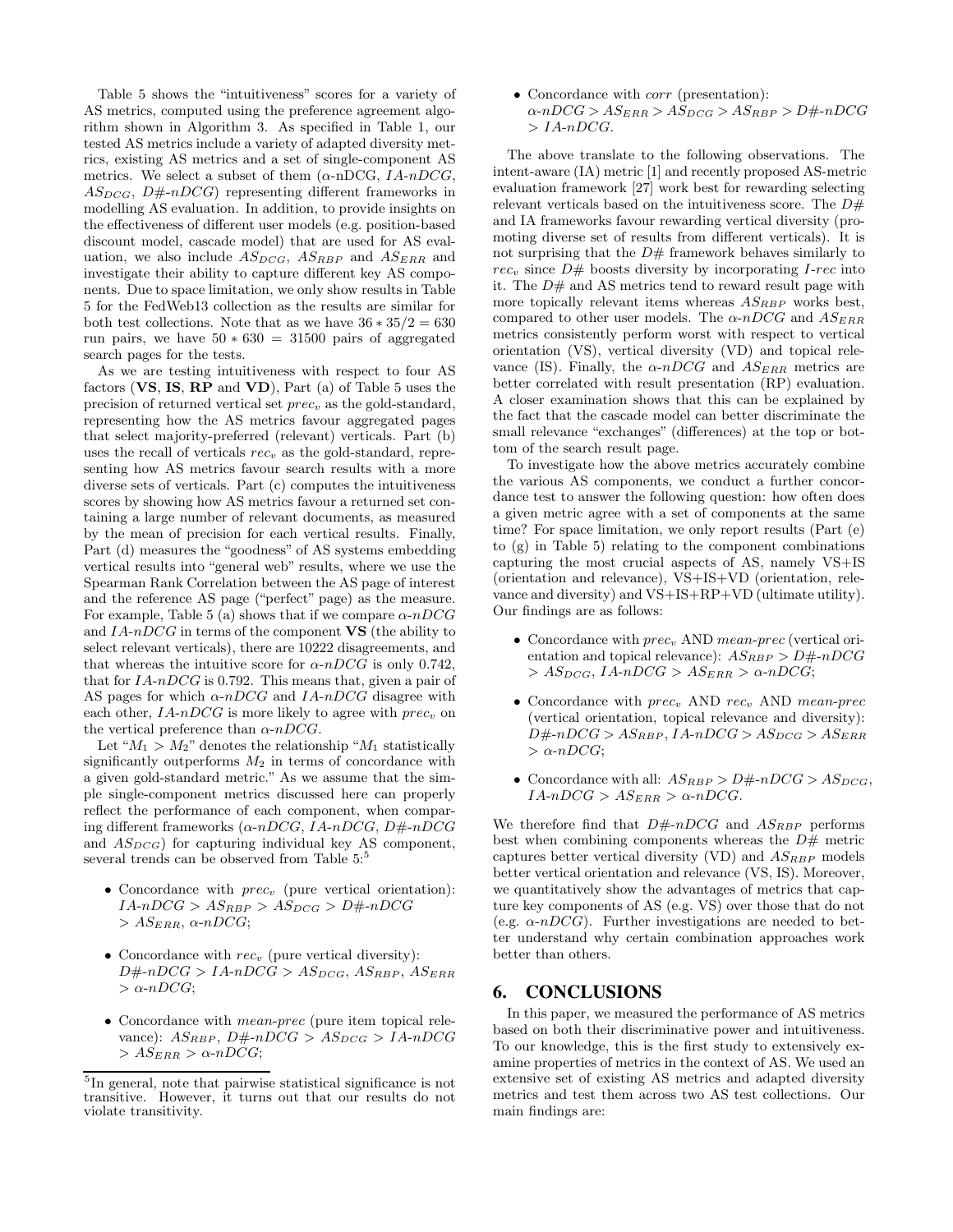Table 5 shows the "intuitiveness" scores for a variety of AS metrics, computed using the preference agreement algorithm shown in Algorithm 3. As specified in Table 1, our tested AS metrics include a variety of adapted diversity metrics, existing AS metrics and a set of single-component AS metrics. We select a subset of them  $(\alpha\text{-nDCG}, \text{IA}-nDCG,$  $AS_{DCG}$ ,  $D\# \neg DCG$  representing different frameworks in modelling AS evaluation. In addition, to provide insights on the effectiveness of different user models (e.g. position-based discount model, cascade model) that are used for AS evaluation, we also include  $AS_{DCG}$ ,  $AS_{RBP}$  and  $AS_{ERR}$  and investigate their ability to capture different key AS components. Due to space limitation, we only show results in Table 5 for the FedWeb13 collection as the results are similar for both test collections. Note that as we have  $36 * 35/2 = 630$ run pairs, we have  $50 * 630 = 31500$  pairs of aggregated search pages for the tests.

As we are testing intuitiveness with respect to four AS factors  $(VS, IS, RP, and VD)$ , Part (a) of Table 5 uses the precision of returned vertical set  $prec_v$  as the gold-standard, representing how the AS metrics favour aggregated pages that select majority-preferred (relevant) verticals. Part (b) uses the recall of verticals  $rec<sub>v</sub>$  as the gold-standard, representing how AS metrics favour search results with a more diverse sets of verticals. Part (c) computes the intuitiveness scores by showing how AS metrics favour a returned set containing a large number of relevant documents, as measured by the mean of precision for each vertical results. Finally, Part (d) measures the "goodness" of AS systems embedding vertical results into "general web" results, where we use the Spearman Rank Correlation between the AS page of interest and the reference AS page ("perfect" page) as the measure. For example, Table 5 (a) shows that if we compare  $\alpha$ -nDCG and  $IA\neg DCG$  in terms of the component  $VS$  (the ability to select relevant verticals), there are 10222 disagreements, and that whereas the intuitive score for  $\alpha$ -nDCG is only 0.742, that for  $IA-nDCG$  is 0.792. This means that, given a pair of AS pages for which  $\alpha$ -nDCG and IA-nDCG disagree with each other,  $IA-nDCG$  is more likely to agree with  $prec_v$  on the vertical preference than  $\alpha$ -nDCG.

Let " $M_1 > M_2$ " denotes the relationship " $M_1$  statistically significantly outperforms  $M_2$  in terms of concordance with a given gold-standard metric." As we assume that the simple single-component metrics discussed here can properly reflect the performance of each component, when comparing different frameworks  $(\alpha \text{-} nDCG, IA \text{-} nDCG, D \text{#} \text{-} nDCG$ and  $AS_{DCG}$ ) for capturing individual key AS component, several trends can be observed from Table 5:<sup>5</sup>

- Concordance with  $prec_v$  (pure vertical orientation):  $IA-nDCG > AS_{RBP} > AS_{DCG} > D\#-nDCG$  $> AS_{ERR}$ ,  $\alpha$ -nDCG;
- Concordance with  $rec_v$  (pure vertical diversity):  $D#-nDCG > IA-nDCG > AS_{DCG}, AS_{RBP}, AS_{ERR}$  $> \alpha$ -nDCG;
- Concordance with mean-prec (pure item topical relevance):  $AS_{RBP}$ ,  $D\# \neg DCG > AS_{DCG} > IA \neg DCG$  $> AS_{ERR} > \alpha \text{-}nDCG$ ;

• Concordance with corr (presentation):  $\alpha$ -nDCG >  $AS_{ERR}$  >  $AS_{DCG}$  >  $AS_{RBP}$  >  $D\#$ -nDCG  $> IA-nDCG.$ 

The above translate to the following observations. The intent-aware (IA) metric [1] and recently proposed AS-metric evaluation framework [27] work best for rewarding selecting relevant verticals based on the intuitiveness score. The  $D#$ and IA frameworks favour rewarding vertical diversity (promoting diverse set of results from different verticals). It is not surprising that the  $D#$  framework behaves similarly to  $rec<sub>v</sub>$  since  $D#$  boosts diversity by incorporating *I-rec* into it. The  $D#$  and AS metrics tend to reward result page with more topically relevant items whereas  $AS_{RBP}$  works best, compared to other user models. The  $\alpha$ -nDCG and  $AS_{ERR}$ metrics consistently perform worst with respect to vertical orientation (VS), vertical diversity (VD) and topical relevance (IS). Finally, the  $\alpha$ -nDCG and  $AS_{ERR}$  metrics are better correlated with result presentation (RP) evaluation. A closer examination shows that this can be explained by the fact that the cascade model can better discriminate the small relevance "exchanges" (differences) at the top or bottom of the search result page.

To investigate how the above metrics accurately combine the various AS components, we conduct a further concordance test to answer the following question: how often does a given metric agree with a set of components at the same time? For space limitation, we only report results (Part (e) to (g) in Table 5) relating to the component combinations capturing the most crucial aspects of AS, namely VS+IS (orientation and relevance), VS+IS+VD (orientation, relevance and diversity) and VS+IS+RP+VD (ultimate utility). Our findings are as follows:

- Concordance with  $prec_v$  AND mean-prec (vertical orientation and topical relevance):  $AS_{RBP} > D#-nDCG$  $> AS_{DCG}$ , IA-nDCG  $> AS_{ERR} > \alpha$ -nDCG;
- Concordance with  $prec_v$  AND  $rec_v$  AND mean-prec (vertical orientation, topical relevance and diversity):  $D#-nDCG > AS_{RBP}$ ,  $IA-nDCG > AS_{DCG} > AS_{ERR}$  $\alpha$ -nDCG;
- Concordance with all:  $AS_{RBP} > D#-nDCG > AS_{DCG}$ ,  $IA\neg DCG > AS_{ERR} > \alpha \neg DCG$ .

We therefore find that  $D#-nDCG$  and  $AS_{RBP}$  performs best when combining components whereas the  $D#$  metric captures better vertical diversity (VD) and  $AS_{RBP}$  models better vertical orientation and relevance (VS, IS). Moreover, we quantitatively show the advantages of metrics that capture key components of AS (e.g. VS) over those that do not (e.g.  $\alpha$ -nDCG). Further investigations are needed to better understand why certain combination approaches work better than others.

## 6. CONCLUSIONS

In this paper, we measured the performance of AS metrics based on both their discriminative power and intuitiveness. To our knowledge, this is the first study to extensively examine properties of metrics in the context of AS. We used an extensive set of existing AS metrics and adapted diversity metrics and test them across two AS test collections. Our main findings are:

<sup>5</sup> In general, note that pairwise statistical significance is not transitive. However, it turns out that our results do not violate transitivity.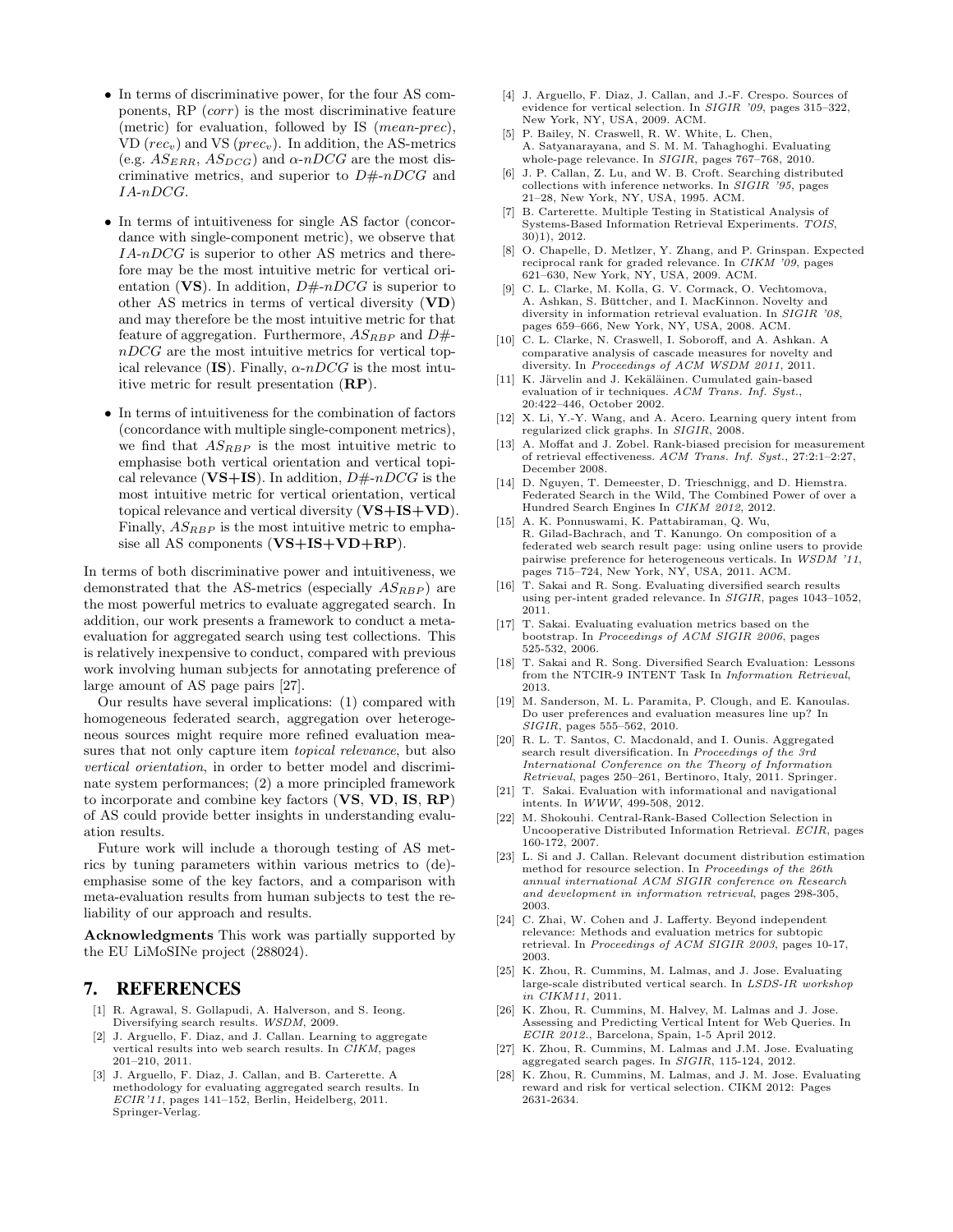- In terms of discriminative power, for the four AS components,  $RP$  (*corr*) is the most discriminative feature (metric) for evaluation, followed by IS (mean-prec), VD ( $rec_v$ ) and VS ( $prec_v$ ). In addition, the AS-metrics (e.g.  $AS_{ERR}$ ,  $AS_{DCG}$ ) and  $\alpha$ -nDCG are the most discriminative metrics, and superior to  $D\#nDCG$  and IA-nDCG.
- In terms of intuitiveness for single AS factor (concordance with single-component metric), we observe that IA-nDCG is superior to other AS metrics and therefore may be the most intuitive metric for vertical orientation (VS). In addition,  $D\#-nDCG$  is superior to other AS metrics in terms of vertical diversity (VD) and may therefore be the most intuitive metric for that feature of aggregation. Furthermore,  $AS_{RBP}$  and  $D\#$ nDCG are the most intuitive metrics for vertical topical relevance (IS). Finally,  $\alpha$ -nDCG is the most intuitive metric for result presentation (RP).
- In terms of intuitiveness for the combination of factors (concordance with multiple single-component metrics), we find that  $AS_{RBP}$  is the most intuitive metric to emphasise both vertical orientation and vertical topical relevance ( $VS+IS$ ). In addition,  $D\#-nDCG$  is the most intuitive metric for vertical orientation, vertical topical relevance and vertical diversity  $(VS+IS+VD)$ . Finally,  $AS_{RBP}$  is the most intuitive metric to emphasise all AS components (VS+IS+VD+RP).

In terms of both discriminative power and intuitiveness, we demonstrated that the AS-metrics (especially  $AS_{RBP}$ ) are the most powerful metrics to evaluate aggregated search. In addition, our work presents a framework to conduct a metaevaluation for aggregated search using test collections. This is relatively inexpensive to conduct, compared with previous work involving human subjects for annotating preference of large amount of AS page pairs [27].

Our results have several implications: (1) compared with homogeneous federated search, aggregation over heterogeneous sources might require more refined evaluation measures that not only capture item *topical relevance*, but also vertical orientation, in order to better model and discriminate system performances; (2) a more principled framework to incorporate and combine key factors (VS, VD, IS, RP) of AS could provide better insights in understanding evaluation results.

Future work will include a thorough testing of AS metrics by tuning parameters within various metrics to (de) emphasise some of the key factors, and a comparison with meta-evaluation results from human subjects to test the reliability of our approach and results.

Acknowledgments This work was partially supported by the EU LiMoSINe project (288024).

## 7. REFERENCES

- [1] R. Agrawal, S. Gollapudi, A. Halverson, and S. Ieong. Diversifying search results. WSDM, 2009.
- [2] J. Arguello, F. Diaz, and J. Callan. Learning to aggregate vertical results into web search results. In CIKM, pages 201–210, 2011.
- [3] J. Arguello, F. Diaz, J. Callan, and B. Carterette. A methodology for evaluating aggregated search results. In ECIR'11, pages 141–152, Berlin, Heidelberg, 2011. Springer-Verlag.
- [4] J. Arguello, F. Diaz, J. Callan, and J.-F. Crespo. Sources of evidence for vertical selection. In SIGIR '09, pages 315–322, New York, NY, USA, 2009. ACM.
- [5] P. Bailey, N. Craswell, R. W. White, L. Chen, A. Satyanarayana, and S. M. M. Tahaghoghi. Evaluating whole-page relevance. In SIGIR, pages 767–768, 2010.
- [6] J. P. Callan, Z. Lu, and W. B. Croft. Searching distributed collections with inference networks. In SIGIR '95, pages 21–28, New York, NY, USA, 1995. ACM.
- [7] B. Carterette. Multiple Testing in Statistical Analysis of Systems-Based Information Retrieval Experiments. TOIS, 30)1), 2012.
- [8] O. Chapelle, D. Metlzer, Y. Zhang, and P. Grinspan. Expected reciprocal rank for graded relevance. In CIKM '09, pages 621–630, New York, NY, USA, 2009. ACM.
- [9] C. L. Clarke, M. Kolla, G. V. Cormack, O. Vechtomova, A. Ashkan, S. Büttcher, and I. MacKinnon. Novelty and diversity in information retrieval evaluation. In SIGIR '08, pages 659–666, New York, NY, USA, 2008. ACM.
- [10] C. L. Clarke, N. Craswell, I. Soboroff, and A. Ashkan. A comparative analysis of cascade measures for novelty and diversity. In Proceedings of ACM WSDM 2011, 2011.
- [11] K. Järvelin and J. Kekäläinen. Cumulated gain-based evaluation of ir techniques. ACM Trans. Inf. Syst., 20:422–446, October 2002.
- [12] X. Li, Y.-Y. Wang, and A. Acero. Learning query intent from regularized click graphs. In SIGIR, 2008.
- [13] A. Moffat and J. Zobel. Rank-biased precision for measurement of retrieval effectiveness. ACM Trans. Inf. Syst., 27:2:1–2:27, December 2008.
- [14] D. Nguyen, T. Demeester, D. Trieschnigg, and D. Hiemstra. Federated Search in the Wild, The Combined Power of over a Hundred Search Engines In CIKM 2012, 2012.
- [15] A. K. Ponnuswami, K. Pattabiraman, Q. Wu, R. Gilad-Bachrach, and T. Kanungo. On composition of a federated web search result page: using online users to provide pairwise preference for heterogeneous verticals. In WSDM '11, pages 715–724, New York, NY, USA, 2011. ACM.
- [16] T. Sakai and R. Song. Evaluating diversified search results using per-intent graded relevance. In SIGIR, pages 1043–1052, 2011.
- [17] T. Sakai. Evaluating evaluation metrics based on the bootstrap. In Proceedings of ACM SIGIR 2006, pages 525-532, 2006.
- [18] T. Sakai and R. Song. Diversified Search Evaluation: Lessons from the NTCIR-9 INTENT Task In Information Retrieval, 2013.
- [19] M. Sanderson, M. L. Paramita, P. Clough, and E. Kanoulas. Do user preferences and evaluation measures line up? In SIGIR, pages 555–562, 2010.
- [20] R. L. T. Santos, C. Macdonald, and I. Ounis. Aggregated search result diversification. In Proceedings of the 3rd International Conference on the Theory of Information Retrieval, pages 250–261, Bertinoro, Italy, 2011. Springer.
- [21] T. Sakai. Evaluation with informational and navigational intents. In WWW, 499-508, 2012.
- [22] M. Shokouhi. Central-Rank-Based Collection Selection in Uncooperative Distributed Information Retrieval. ECIR, pages 160-172, 2007.
- [23] L. Si and J. Callan. Relevant document distribution estimation method for resource selection. In Proceedings of the 26th annual international ACM SIGIR conference on Research and development in information retrieval, pages 298-305, 2003.
- [24] C. Zhai, W. Cohen and J. Lafferty. Beyond independent relevance: Methods and evaluation metrics for subtopic retrieval. In Proceedings of ACM SIGIR 2003, pages 10-17, 2003.
- [25] K. Zhou, R. Cummins, M. Lalmas, and J. Jose. Evaluating large-scale distributed vertical search. In LSDS-IR workshop in CIKM11, 2011.
- [26] K. Zhou, R. Cummins, M. Halvey, M. Lalmas and J. Jose. Assessing and Predicting Vertical Intent for Web Queries. In ECIR 2012., Barcelona, Spain, 1-5 April 2012.
- [27] K. Zhou, R. Cummins, M. Lalmas and J.M. Jose. Evaluating aggregated search pages. In SIGIR, 115-124, 2012.
- [28] K. Zhou, R. Cummins, M. Lalmas, and J. M. Jose. Evaluating reward and risk for vertical selection. CIKM 2012: Pages 2631-2634.